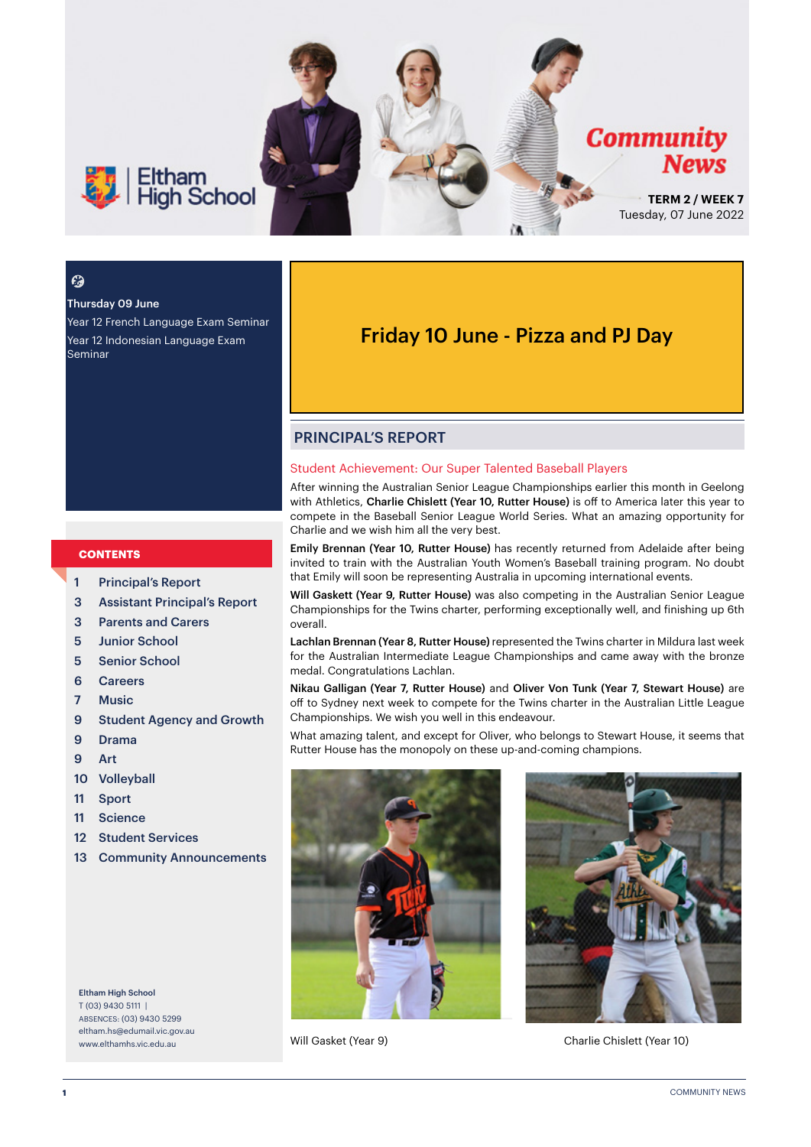

#### $\boldsymbol{\epsilon}$

#### Thursday 09 June

Year 12 French Language Exam Seminar Year 12 Indonesian Language Exam Seminar

#### **CONTENTS**

- 1 Principal's Report
- 3 Assistant Principal's Report
- 3 Parents and Carers
- 5 Junior School
- 5 Senior School
- 6 Careers
- 7 Music
- 9 Student Agency and Growth
- 9 Drama
- 9 Art
- 10 Volleyball
- 11 Sport
- 11 Science
- 12 Student Services
- 13 Community Announcements

Eltham High School T (03) 9430 5111 | ABSENCES: (03) 9430 5299 [eltham.hs@edumail.vic.gov.au](mailto:eltham.hs@edumail.vic.gov.au) [www.elthamhs.vic.edu.au](http://www.elthamhs.vic.edu.au)

### Friday 10 June - Pizza and PJ Day

#### PRINCIPAL'S REPORT

#### Student Achievement: Our Super Talented Baseball Players

After winning the Australian Senior League Championships earlier this month in Geelong with Athletics, Charlie Chislett (Year 10, Rutter House) is off to America later this year to compete in the Baseball Senior League World Series. What an amazing opportunity for Charlie and we wish him all the very best.

Emily Brennan (Year 10, Rutter House) has recently returned from Adelaide after being invited to train with the Australian Youth Women's Baseball training program. No doubt that Emily will soon be representing Australia in upcoming international events.

Will Gaskett (Year 9, Rutter House) was also competing in the Australian Senior League Championships for the Twins charter, performing exceptionally well, and finishing up 6th overall.

Lachlan Brennan (Year 8, Rutter House) represented the Twins charter in Mildura last week for the Australian Intermediate League Championships and came away with the bronze medal. Congratulations Lachlan.

Nikau Galligan (Year 7, Rutter House) and Oliver Von Tunk (Year 7, Stewart House) are off to Sydney next week to compete for the Twins charter in the Australian Little League Championships. We wish you well in this endeavour.

What amazing talent, and except for Oliver, who belongs to Stewart House, it seems that Rutter House has the monopoly on these up-and-coming champions.





Will Gasket (Year 9) Charlie Chislett (Year 10)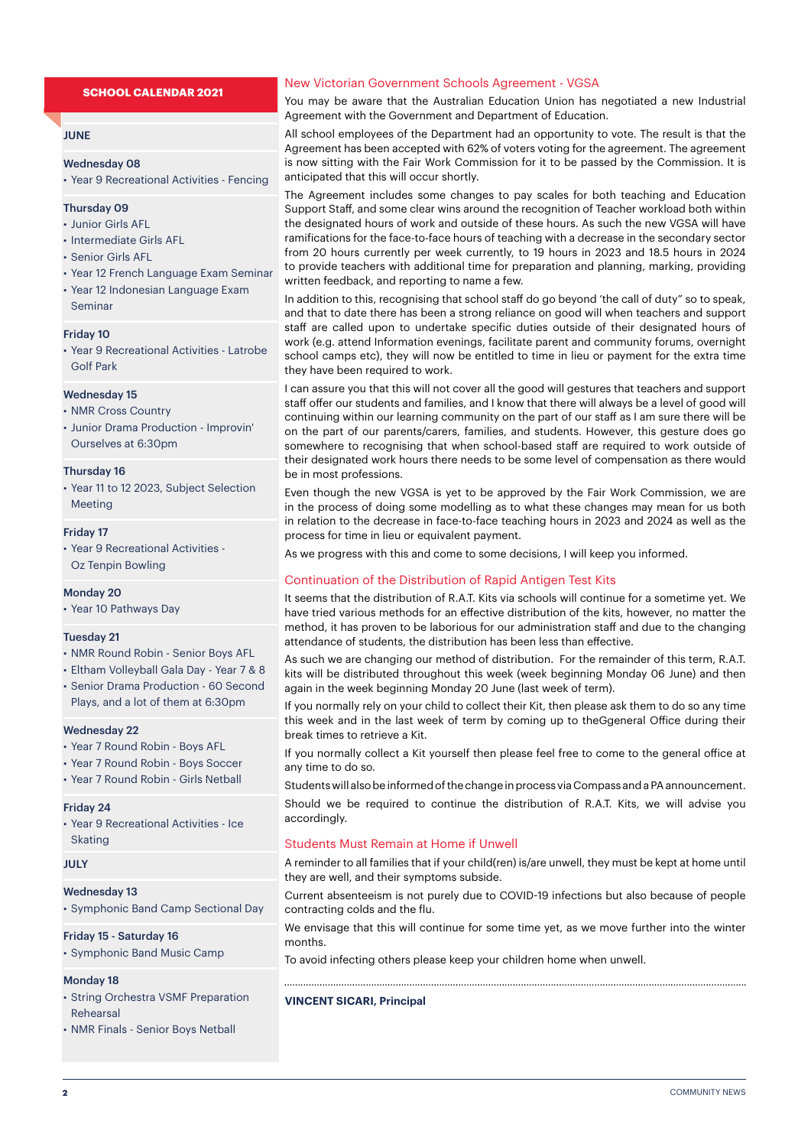#### **SCHOOL CALENDAR 2021**

#### **JUNE**

#### Wednesday 08

• Year 9 Recreational Activities - Fencing

#### Thursday 09

- Junior Girls AFL
- Intermediate Girls AFL
- Senior Girls AFL
- Year 12 French Language Exam Seminar
- Year 12 Indonesian Language Exam Seminar

#### Friday 10

• Year 9 Recreational Activities - Latrobe Golf Park

#### Wednesday 15

- NMR Cross Country
- Junior Drama Production Improvin' Ourselves at 6:30pm

#### Thursday 16

• Year 11 to 12 2023, Subject Selection Meeting

#### Friday 17

• Year 9 Recreational Activities - Oz Tenpin Bowling

#### Monday 20

• Year 10 Pathways Day

#### Tuesday 21

- NMR Round Robin Senior Boys AFL
- Eltham Volleyball Gala Day Year 7 & 8
- Senior Drama Production 60 Second Plays, and a lot of them at 6:30pm

#### Wednesday 22

- Year 7 Round Robin Boys AFL
- Year 7 Round Robin Boys Soccer
- Year 7 Round Robin Girls Netball

#### Friday 24

• Year 9 Recreational Activities - Ice Skating

#### JULY

#### Wednesday 13

• Symphonic Band Camp Sectional Day

#### Friday 15 - Saturday 16

• Symphonic Band Music Camp

#### Monday 18

- String Orchestra VSMF Preparation Rehearsal
- NMR Finals Senior Boys Netball

#### New Victorian Government Schools Agreement - VGSA

You may be aware that the Australian Education Union has negotiated a new Industrial Agreement with the Government and Department of Education.

All school employees of the Department had an opportunity to vote. The result is that the Agreement has been accepted with 62% of voters voting for the agreement. The agreement is now sitting with the Fair Work Commission for it to be passed by the Commission. It is anticipated that this will occur shortly.

The Agreement includes some changes to pay scales for both teaching and Education Support Staff, and some clear wins around the recognition of Teacher workload both within the designated hours of work and outside of these hours. As such the new VGSA will have ramifications for the face-to-face hours of teaching with a decrease in the secondary sector from 20 hours currently per week currently, to 19 hours in 2023 and 18.5 hours in 2024 to provide teachers with additional time for preparation and planning, marking, providing written feedback, and reporting to name a few.

In addition to this, recognising that school staff do go beyond 'the call of duty" so to speak, and that to date there has been a strong reliance on good will when teachers and support staff are called upon to undertake specific duties outside of their designated hours of work (e.g. attend Information evenings, facilitate parent and community forums, overnight school camps etc), they will now be entitled to time in lieu or payment for the extra time they have been required to work.

I can assure you that this will not cover all the good will gestures that teachers and support staff offer our students and families, and I know that there will always be a level of good will continuing within our learning community on the part of our staff as I am sure there will be on the part of our parents/carers, families, and students. However, this gesture does go somewhere to recognising that when school-based staff are required to work outside of their designated work hours there needs to be some level of compensation as there would be in most professions.

Even though the new VGSA is yet to be approved by the Fair Work Commission, we are in the process of doing some modelling as to what these changes may mean for us both in relation to the decrease in face-to-face teaching hours in 2023 and 2024 as well as the process for time in lieu or equivalent payment.

As we progress with this and come to some decisions, I will keep you informed.

#### Continuation of the Distribution of Rapid Antigen Test Kits

It seems that the distribution of R.A.T. Kits via schools will continue for a sometime yet. We have tried various methods for an effective distribution of the kits, however, no matter the method, it has proven to be laborious for our administration staff and due to the changing attendance of students, the distribution has been less than effective.

As such we are changing our method of distribution. For the remainder of this term, R.A.T. kits will be distributed throughout this week (week beginning Monday 06 June) and then again in the week beginning Monday 20 June (last week of term).

If you normally rely on your child to collect their Kit, then please ask them to do so any time this week and in the last week of term by coming up to theGgeneral Office during their break times to retrieve a Kit.

If you normally collect a Kit yourself then please feel free to come to the general office at any time to do so.

Students will also be informed of the change in process via Compass and a PA announcement. Should we be required to continue the distribution of R.A.T. Kits, we will advise you accordingly.

#### Students Must Remain at Home if Unwell

A reminder to all families that if your child(ren) is/are unwell, they must be kept at home until they are well, and their symptoms subside.

Current absenteeism is not purely due to COVID-19 infections but also because of people contracting colds and the flu.

We envisage that this will continue for some time yet, as we move further into the winter months.

To avoid infecting others please keep your children home when unwell.

#### **VINCENT SICARI, Principal**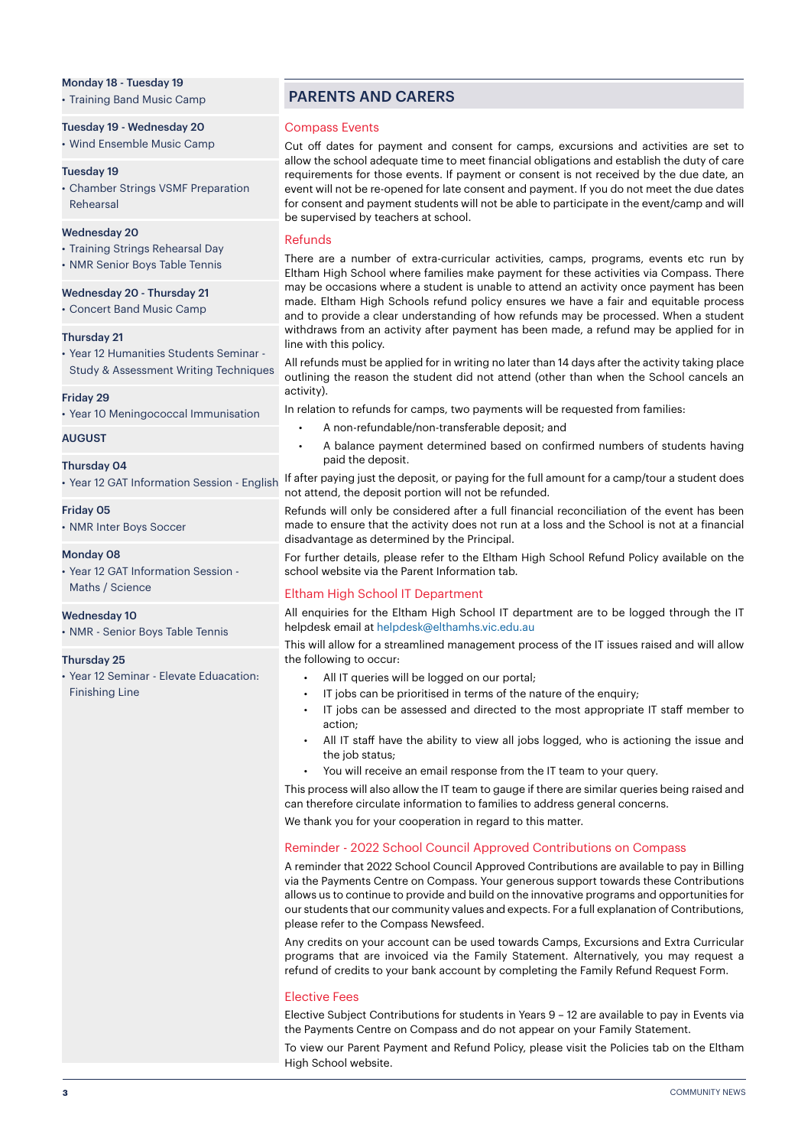#### Monday 18 - Tuesday 19

• Training Band Music Camp

Tuesday 19 - Wednesday 20

• Wind Ensemble Music Camp

#### Tuesday 19

• Chamber Strings VSMF Preparation Rehearsal

#### Wednesday 20

- Training Strings Rehearsal Day
- NMR Senior Boys Table Tennis

#### Wednesday 20 - Thursday 21

• Concert Band Music Camp

#### Thursday 21

• Year 12 Humanities Students Seminar - Study & Assessment Writing Techniques

#### Friday 29

• Year 10 Meningococcal Immunisation

#### AUGUST

#### Thursday 04

• Year 12 GAT Information Session - English

#### Friday 05

• NMR Inter Boys Soccer

#### Monday 08

• Year 12 GAT Information Session - Maths / Science

#### Wednesday 10

• NMR - Senior Boys Table Tennis

#### Thursday 25

• Year 12 Seminar - Elevate Eduacation: Finishing Line

#### PARENTS AND CARERS

#### Compass Events

Cut off dates for payment and consent for camps, excursions and activities are set to allow the school adequate time to meet financial obligations and establish the duty of care requirements for those events. If payment or consent is not received by the due date, an event will not be re-opened for late consent and payment. If you do not meet the due dates for consent and payment students will not be able to participate in the event/camp and will be supervised by teachers at school.

#### Refunds

There are a number of extra-curricular activities, camps, programs, events etc run by Eltham High School where families make payment for these activities via Compass. There may be occasions where a student is unable to attend an activity once payment has been made. Eltham High Schools refund policy ensures we have a fair and equitable process and to provide a clear understanding of how refunds may be processed. When a student withdraws from an activity after payment has been made, a refund may be applied for in line with this policy.

All refunds must be applied for in writing no later than 14 days after the activity taking place outlining the reason the student did not attend (other than when the School cancels an activity).

In relation to refunds for camps, two payments will be requested from families:

- A non-refundable/non-transferable deposit; and
- A balance payment determined based on confirmed numbers of students having paid the deposit.

If after paying just the deposit, or paying for the full amount for a camp/tour a student does not attend, the deposit portion will not be refunded.

Refunds will only be considered after a full financial reconciliation of the event has been made to ensure that the activity does not run at a loss and the School is not at a financial disadvantage as determined by the Principal.

For further details, please refer to the Eltham High School Refund Policy available on the school website via the Parent Information tab.

#### Eltham High School IT Department

All enauiries for the Eltham High School IT department are to be logged through the IT helpdesk email at helpdesk@elthamhs.vic.edu.au

This will allow for a streamlined management process of the IT issues raised and will allow the following to occur:

- All IT queries will be logged on our portal;
- IT jobs can be prioritised in terms of the nature of the enquiry;
- IT jobs can be assessed and directed to the most appropriate IT staff member to action;
- All IT staff have the ability to view all jobs logged, who is actioning the issue and the job status;
- You will receive an email response from the IT team to your query.

This process will also allow the IT team to gauge if there are similar queries being raised and can therefore circulate information to families to address general concerns.

We thank you for your cooperation in regard to this matter.

#### Reminder - 2022 School Council Approved Contributions on Compass

A reminder that 2022 School Council Approved Contributions are available to pay in Billing via the Payments Centre on Compass. Your generous support towards these Contributions allows us to continue to provide and build on the innovative programs and opportunities for our students that our community values and expects. For a full explanation of Contributions, please refer to the Compass Newsfeed.

Any credits on your account can be used towards Camps, Excursions and Extra Curricular programs that are invoiced via the Family Statement. Alternatively, you may request a refund of credits to your bank account by completing the Family Refund Request Form.

#### Elective Fees

Elective Subject Contributions for students in Years 9 – 12 are available to pay in Events via the Payments Centre on Compass and do not appear on your Family Statement.

To view our Parent Payment and Refund Policy, please visit the Policies tab on the Eltham High School website.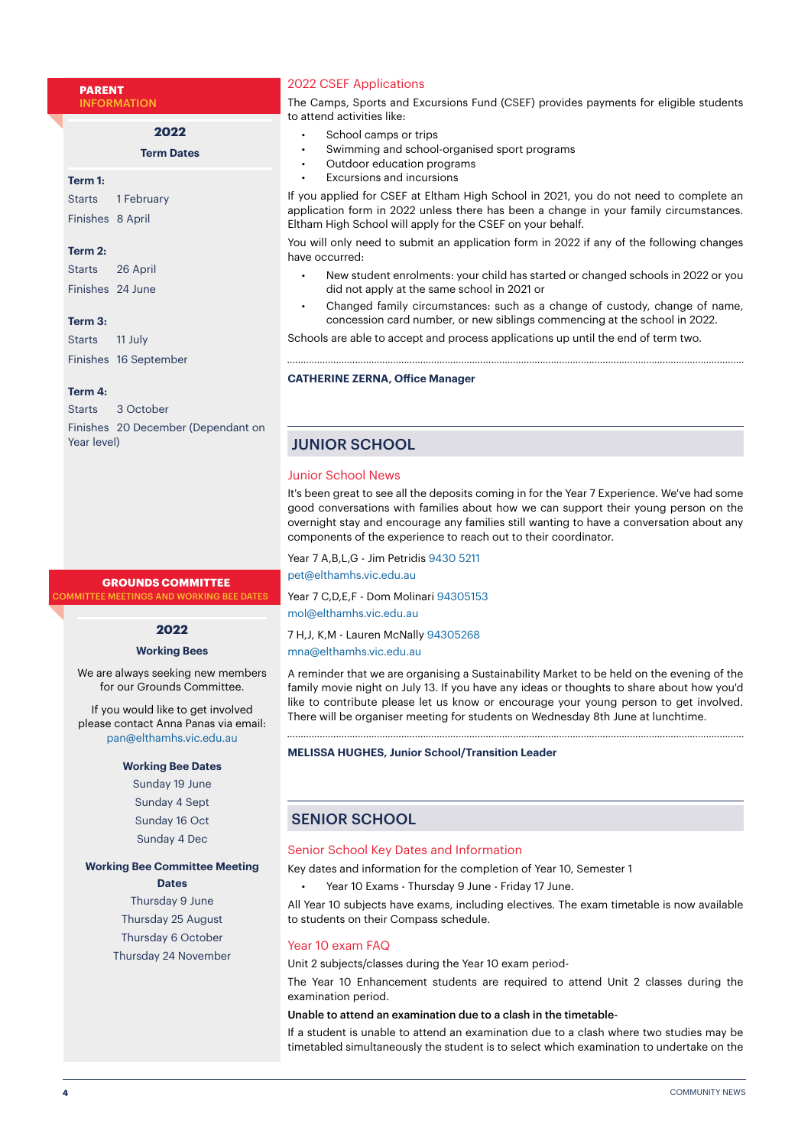**PARENT** INFORMATION

**2022**

**Term Dates**

#### **Term 1:**

Starts 1 February Finishes 8 April

#### **Term 2:**

| Starts           | 26 April |
|------------------|----------|
| Finishes 24 June |          |

#### **Term 3:**

Starts 11 July Finishes 16 September

#### **Term 4:**

|             | Starts 3 October                   |
|-------------|------------------------------------|
|             | Finishes 20 December (Dependant on |
| Year level) |                                    |

#### **GROUNDS COMMITTEE**

**MMITTEE MEETINGS AND WORKING BEE DATES** 

#### **2022**

#### **Working Bees**

We are always seeking new members for our Grounds Committee.

If you would like to get involved please contact Anna Panas via email: pan@elthamhs.vic.edu.au

#### **Working Bee Dates**

Sunday 19 June Sunday 4 Sept Sunday 16 Oct Sunday 4 Dec

#### **Working Bee Committee Meeting**

#### **Dates**

Thursday 9 June Thursday 25 August Thursday 6 October Thursday 24 November

#### 2022 CSEF Applications

The Camps, Sports and Excursions Fund (CSEF) provides payments for eligible students to attend activities like:

- School camps or trips
- Swimming and school-organised sport programs
- Outdoor education programs
- Excursions and incursions

If you applied for CSEF at Eltham High School in 2021, you do not need to complete an application form in 2022 unless there has been a change in your family circumstances. Eltham High School will apply for the CSEF on your behalf.

You will only need to submit an application form in 2022 if any of the following changes have occurred:

- New student enrolments: your child has started or changed schools in 2022 or you did not apply at the same school in 2021 or
- Changed family circumstances: such as a change of custody, change of name, concession card number, or new siblings commencing at the school in 2022.

Schools are able to accept and process applications up until the end of term two.

#### **CATHERINE ZERNA, Office Manager**

#### JUNIOR SCHOOL

#### Junior School News

It's been great to see all the deposits coming in for the Year 7 Experience. We've had some good conversations with families about how we can support their young person on the overnight stay and encourage any families still wanting to have a conversation about any components of the experience to reach out to their coordinator.

Year 7 A,B,L,G - Jim Petridis 9430 5211 pet@elthamhs.vic.edu.au

Year 7 C,D,E,F - Dom Molinari 94305153 mol@elthamhs.vic.edu.au

7 H,J, K,M - Lauren McNally 94305268 mna@elthamhs.vic.edu.au

A reminder that we are organising a Sustainability Market to be held on the evening of the family movie night on July 13. If you have any ideas or thoughts to share about how you'd like to contribute please let us know or encourage your young person to get involved. There will be organiser meeting for students on Wednesday 8th June at lunchtime.

#### **MELISSA HUGHES, Junior School/Transition Leader**

#### SENIOR SCHOOL

#### Senior School Key Dates and Information

Key dates and information for the completion of Year 10, Semester 1

• Year 10 Exams - Thursday 9 June - Friday 17 June.

All Year 10 subjects have exams, including electives. The exam timetable is now available to students on their Compass schedule.

#### Year 10 exam FAQ

Unit 2 subjects/classes during the Year 10 exam period-

The Year 10 Enhancement students are required to attend Unit 2 classes during the examination period.

#### Unable to attend an examination due to a clash in the timetable-

If a student is unable to attend an examination due to a clash where two studies may be timetabled simultaneously the student is to select which examination to undertake on the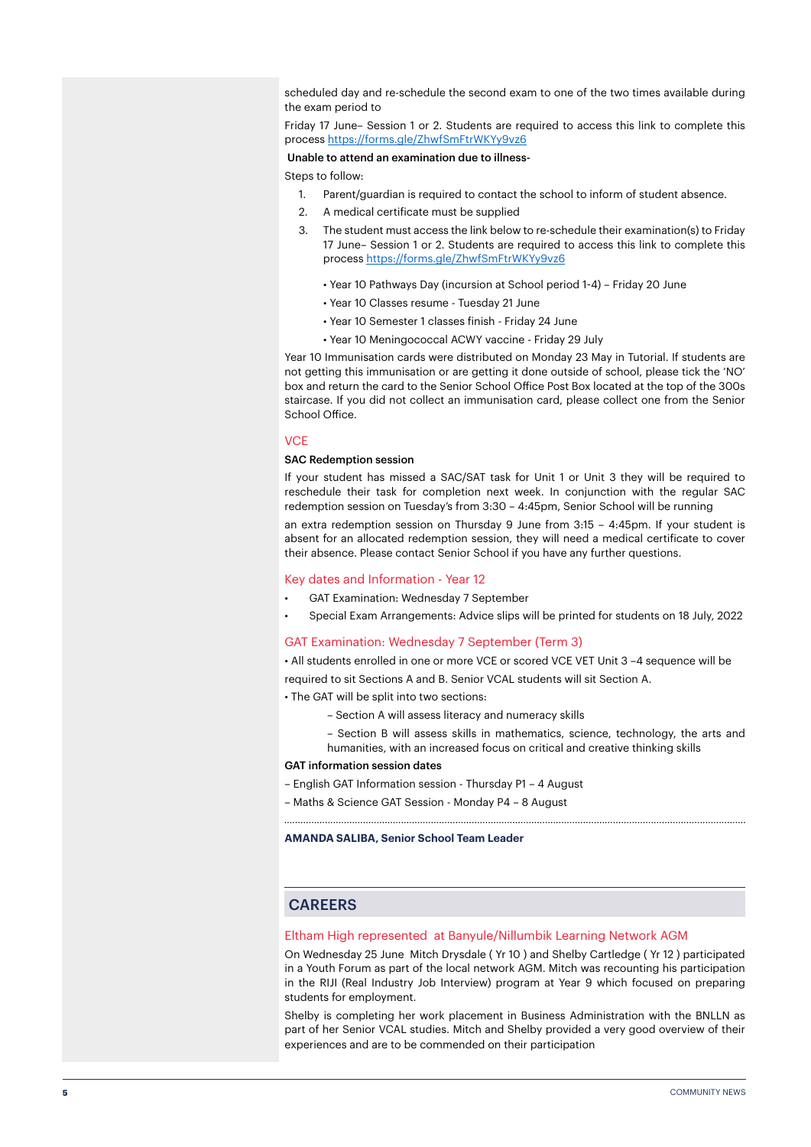scheduled day and re-schedule the second exam to one of the two times available during the exam period to

Friday 17 June– Session 1 or 2. Students are required to access this link to complete this process <https://forms.gle/ZhwfSmFtrWKYy9vz6>

#### Unable to attend an examination due to illness-

Steps to follow:

- 1. Parent/guardian is required to contact the school to inform of student absence.
- 2. A medical certificate must be supplied
- 3. The student must access the link below to re-schedule their examination(s) to Friday 17 June– Session 1 or 2. Students are required to access this link to complete this process<https://forms.gle/ZhwfSmFtrWKYy9vz6>
	- Year 10 Pathways Day (incursion at School period 1-4) Friday 20 June
	- Year 10 Classes resume Tuesday 21 June
	- Year 10 Semester 1 classes finish Friday 24 June
	- Year 10 Meningococcal ACWY vaccine Friday 29 July

Year 10 Immunisation cards were distributed on Monday 23 May in Tutorial. If students are not getting this immunisation or are getting it done outside of school, please tick the 'NO' box and return the card to the Senior School Office Post Box located at the top of the 300s staircase. If you did not collect an immunisation card, please collect one from the Senior School Office.

#### **VCE**

#### SAC Redemption session

If your student has missed a SAC/SAT task for Unit 1 or Unit 3 they will be required to reschedule their task for completion next week. In conjunction with the regular SAC redemption session on Tuesday's from 3:30 – 4:45pm, Senior School will be running an extra redemption session on Thursday 9 June from 3:15 – 4:45pm. If your student is absent for an allocated redemption session, they will need a medical certificate to cover their absence. Please contact Senior School if you have any further questions.

#### Key dates and Information - Year 12

- GAT Examination: Wednesday 7 September
- Special Exam Arrangements: Advice slips will be printed for students on 18 July, 2022

#### GAT Examination: Wednesday 7 September (Term 3)

• All students enrolled in one or more VCE or scored VCE VET Unit 3 –4 sequence will be

required to sit Sections A and B. Senior VCAL students will sit Section A.

- The GAT will be split into two sections:
	- Section A will assess literacy and numeracy skills
	- Section B will assess skills in mathematics, science, technology, the arts and humanities, with an increased focus on critical and creative thinking skills

#### GAT information session dates

- English GAT Information session Thursday P1 4 August
- Maths & Science GAT Session Monday P4 8 August

**AMANDA SALIBA, Senior School Team Leader**

#### CAREERS

#### Eltham High represented at Banyule/Nillumbik Learning Network AGM

On Wednesday 25 June Mitch Drysdale ( Yr 10 ) and Shelby Cartledge ( Yr 12 ) participated in a Youth Forum as part of the local network AGM. Mitch was recounting his participation in the RIJI (Real Industry Job Interview) program at Year 9 which focused on preparing students for employment.

Shelby is completing her work placement in Business Administration with the BNLLN as part of her Senior VCAL studies. Mitch and Shelby provided a very good overview of their experiences and are to be commended on their participation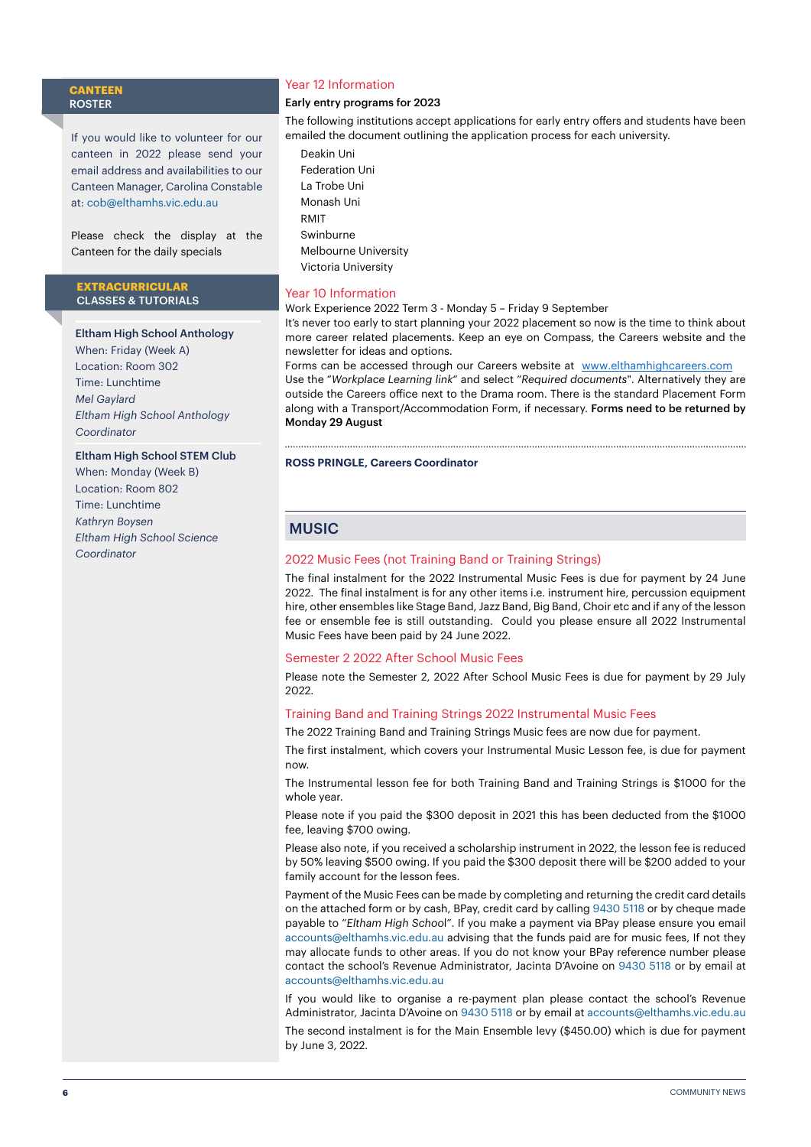#### **CANTEEN** ROSTER

If you would like to volunteer for our canteen in 2022 please send your email address and availabilities to our Canteen Manager, Carolina Constable at: [cob@elthamhs.vic.edu.au](mailto:cob@elthamhs.vic.edu.au)

Please check the display at the Canteen for the daily specials

#### **EXTRACURRICULAR**  CLASSES & TUTORIALS

#### Eltham High School Anthology

When: Friday (Week A) Location: Room 302 Time: Lunchtime *Mel Gaylard Eltham High School Anthology Coordinator*

#### Eltham High School STEM Club

When: Monday (Week B) Location: Room 802 Time: Lunchtime *Kathryn Boysen Eltham High School Science Coordinator*

#### Year 12 Information

#### Early entry programs for 2023

The following institutions accept applications for early entry offers and students have been emailed the document outlining the application process for each university.

Deakin Uni Federation Uni La Trobe Uni Monash Uni RMIT Swinburne Melbourne University Victoria University

#### Year 10 Information

Work Experience 2022 Term 3 - Monday 5 – Friday 9 September

It's never too early to start planning your 2022 placement so now is the time to think about more career related placements. Keep an eye on Compass, the Careers website and the newsletter for ideas and options.

Forms can be accessed through our Careers website at [www.elthamhighcareers.com](http://www.elthamhighcareers.com) Use the "*Workplace Learning link*" and select "*Required documents*". Alternatively they are outside the Careers office next to the Drama room. There is the standard Placement Form along with a Transport/Accommodation Form, if necessary. Forms need to be returned by Monday 29 August

#### **ROSS PRINGLE, Careers Coordinator**

#### **MUSIC**

#### 2022 Music Fees (not Training Band or Training Strings)

The final instalment for the 2022 Instrumental Music Fees is due for payment by 24 June 2022. The final instalment is for any other items i.e. instrument hire, percussion equipment hire, other ensembles like Stage Band, Jazz Band, Big Band, Choir etc and if any of the lesson fee or ensemble fee is still outstanding. Could you please ensure all 2022 Instrumental Music Fees have been paid by 24 June 2022.

#### Semester 2 2022 After School Music Fees

Please note the Semester 2, 2022 After School Music Fees is due for payment by 29 July 2022.

#### Training Band and Training Strings 2022 Instrumental Music Fees

The 2022 Training Band and Training Strings Music fees are now due for payment.

The first instalment, which covers your Instrumental Music Lesson fee, is due for payment now.

The Instrumental lesson fee for both Training Band and Training Strings is \$1000 for the whole year.

Please note if you paid the \$300 deposit in 2021 this has been deducted from the \$1000 fee, leaving \$700 owing.

Please also note, if you received a scholarship instrument in 2022, the lesson fee is reduced by 50% leaving \$500 owing. If you paid the \$300 deposit there will be \$200 added to your family account for the lesson fees.

Payment of the Music Fees can be made by completing and returning the credit card details on the attached form or by cash, BPay, credit card by calling 9430 5118 or by cheque made payable to "*Eltham High Schoo*l". If you make a payment via BPay please ensure you email accounts@elthamhs.vic.edu.au advising that the funds paid are for music fees, If not they may allocate funds to other areas. If you do not know your BPay reference number please contact the school's Revenue Administrator, Jacinta D'Avoine on 9430 5118 or by email at accounts@elthamhs.vic.edu.au

If you would like to organise a re-payment plan please contact the school's Revenue Administrator, Jacinta D'Avoine on 9430 5118 or by email at accounts@elthamhs.vic.edu.au The second instalment is for the Main Ensemble levy (\$450.00) which is due for payment by June 3, 2022.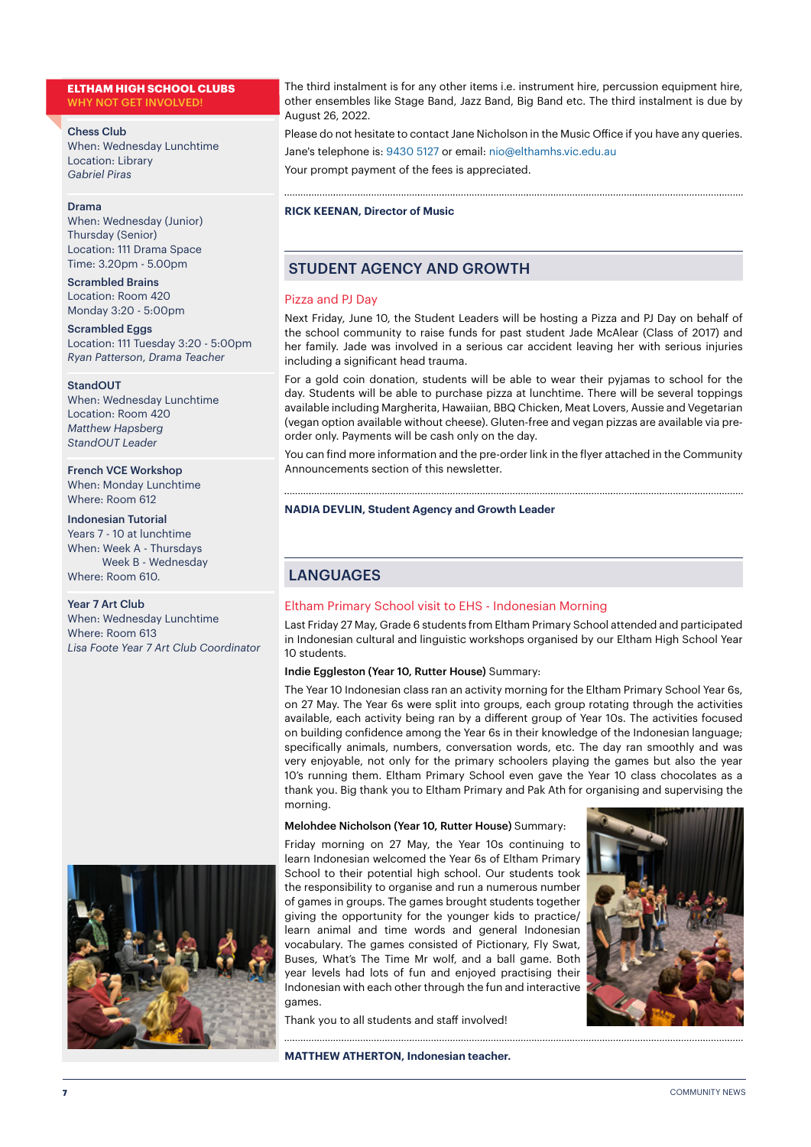#### **ELTHAM HIGH SCHOOL CLUBS** WHY NOT GET INVOLVED!

#### Chess Club

When: Wednesday Lunchtime Location: Library *Gabriel Piras*

#### Drama

When: Wednesday (Junior) Thursday (Senior) Location: 111 Drama Space Time: 3.20pm - 5.00pm

Scrambled Brains Location: Room 420 Monday 3:20 - 5:00pm

Scrambled Eggs Location: 111 Tuesday 3:20 - 5:00pm *Ryan Patterson*, *Drama Teacher*

#### StandOUT

When: Wednesday Lunchtime Location: Room 420 *Matthew Hapsberg StandOUT Leader*

French VCE Workshop When: Monday Lunchtime Where: Room 612

Indonesian Tutorial Years 7 - 10 at lunchtime When: Week A - Thursdays Week B - Wednesday Where: Room 610.

#### Year 7 Art Club

When: Wednesday Lunchtime Where: Room 613 *Lisa Foote Year 7 Art Club Coordinator*



The third instalment is for any other items i.e. instrument hire, percussion equipment hire, other ensembles like Stage Band, Jazz Band, Big Band etc. The third instalment is due by August 26, 2022.

Please do not hesitate to contact Jane Nicholson in the Music Office if you have any queries. Jane's telephone is: 9430 5127 or email: nio@elthamhs.vic.edu.au

Your prompt payment of the fees is appreciated.

#### **RICK KEENAN, Director of Music**

#### STUDENT AGENCY AND GROWTH

#### Pizza and PJ Day

Next Friday, June 10, the Student Leaders will be hosting a Pizza and PJ Day on behalf of the school community to raise funds for past student Jade McAlear (Class of 2017) and her family. Jade was involved in a serious car accident leaving her with serious injuries including a significant head trauma.

For a gold coin donation, students will be able to wear their pyjamas to school for the day. Students will be able to purchase pizza at lunchtime. There will be several toppings available including Margherita, Hawaiian, BBQ Chicken, Meat Lovers, Aussie and Vegetarian (vegan option available without cheese). Gluten-free and vegan pizzas are available via preorder only. Payments will be cash only on the day.

You can find more information and the pre-order link in the flyer attached in the Community Announcements section of this newsletter.

#### **NADIA DEVLIN, Student Agency and Growth Leader**

#### **LANGUAGES**

#### Eltham Primary School visit to EHS - Indonesian Morning

Last Friday 27 May, Grade 6 students from Eltham Primary School attended and participated in Indonesian cultural and linguistic workshops organised by our Eltham High School Year 10 students.

#### Indie Eggleston (Year 10, Rutter House) Summary:

The Year 10 Indonesian class ran an activity morning for the Eltham Primary School Year 6s, on 27 May. The Year 6s were split into groups, each group rotating through the activities available, each activity being ran by a different group of Year 10s. The activities focused on building confidence among the Year 6s in their knowledge of the Indonesian language; specifically animals, numbers, conversation words, etc. The day ran smoothly and was very enjoyable, not only for the primary schoolers playing the games but also the year 10's running them. Eltham Primary School even gave the Year 10 class chocolates as a thank you. Big thank you to Eltham Primary and Pak Ath for organising and supervising the morning.

#### Melohdee Nicholson (Year 10, Rutter House) Summary:

Friday morning on 27 May, the Year 10s continuing to learn Indonesian welcomed the Year 6s of Eltham Primary School to their potential high school. Our students took the responsibility to organise and run a numerous number of games in groups. The games brought students together giving the opportunity for the younger kids to practice/ learn animal and time words and general Indonesian vocabulary. The games consisted of Pictionary, Fly Swat, Buses, What's The Time Mr wolf, and a ball game. Both year levels had lots of fun and enjoyed practising their Indonesian with each other through the fun and interactive games.

Thank you to all students and staff involved!

**MATTHEW ATHERTON, Indonesian teacher.** 

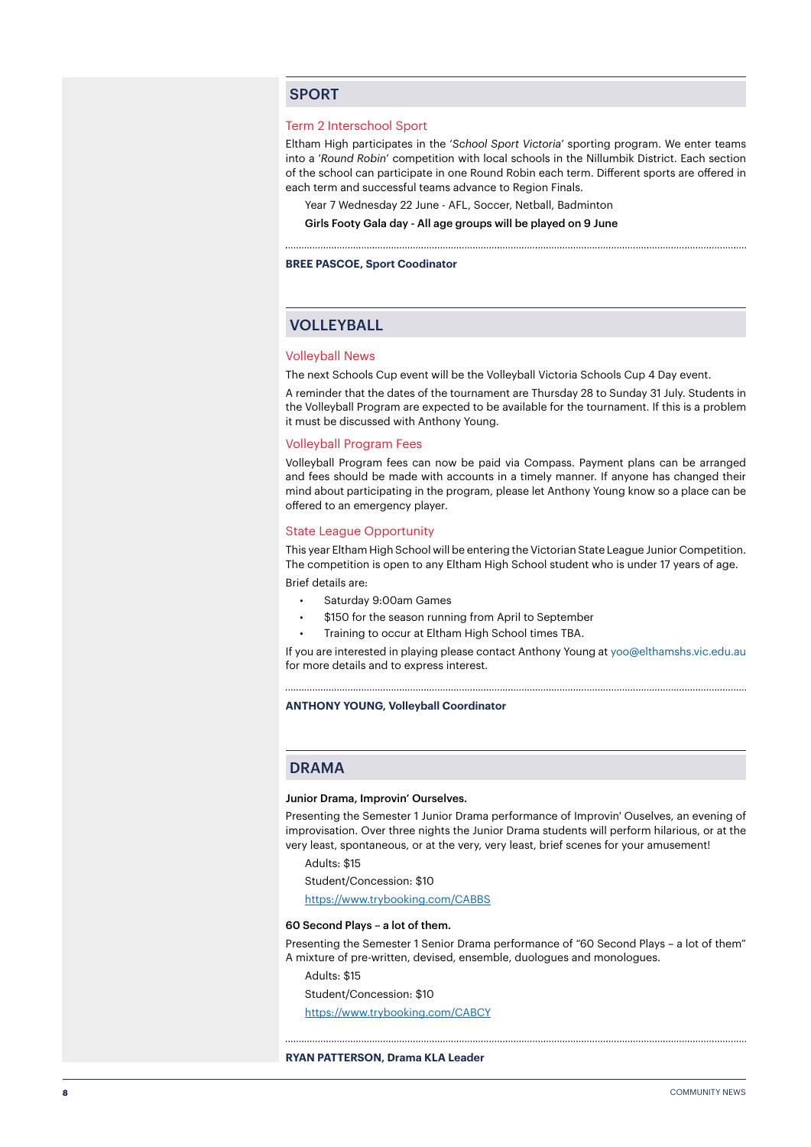#### SPORT

#### Term 2 Interschool Sport

Eltham High participates in the '*School Sport Victoria*' sporting program. We enter teams into a '*Round Robin*' competition with local schools in the Nillumbik District. Each section of the school can participate in one Round Robin each term. Different sports are offered in each term and successful teams advance to Region Finals.

Year 7 Wednesday 22 June - AFL, Soccer, Netball, Badminton

Girls Footy Gala day - All age groups will be played on 9 June

**BREE PASCOE, Sport Coodinator**

#### VOLLEYBALL

#### Volleyball News

The next Schools Cup event will be the Volleyball Victoria Schools Cup 4 Day event.

A reminder that the dates of the tournament are Thursday 28 to Sunday 31 July. Students in the Volleyball Program are expected to be available for the tournament. If this is a problem it must be discussed with Anthony Young.

#### Volleyball Program Fees

Volleyball Program fees can now be paid via Compass. Payment plans can be arranged and fees should be made with accounts in a timely manner. If anyone has changed their mind about participating in the program, please let Anthony Young know so a place can be offered to an emergency player.

#### State League Opportunity

This year Eltham High School will be entering the Victorian State League Junior Competition. The competition is open to any Eltham High School student who is under 17 years of age. Brief details are:

- Saturday 9:00am Games
- \$150 for the season running from April to September
- Training to occur at Eltham High School times TBA.

If you are interested in playing please contact Anthony Young at yoo@elthamshs.vic.edu.au for more details and to express interest.

**ANTHONY YOUNG, Volleyball Coordinator**

#### DRAMA

#### Junior Drama, Improvin' Ourselves.

Presenting the Semester 1 Junior Drama performance of Improvin' Ouselves, an evening of improvisation. Over three nights the Junior Drama students will perform hilarious, or at the very least, spontaneous, or at the very, very least, brief scenes for your amusement!

Adults: \$15

Student/Concession: \$10

<https://www.trybooking.com/CABBS>

#### 60 Second Plays – a lot of them.

Presenting the Semester 1 Senior Drama performance of "60 Second Plays – a lot of them" A mixture of pre-written, devised, ensemble, duologues and monologues.

Adults: \$15

Student/Concession: \$10

<https://www.trybooking.com/CABCY>

#### **RYAN PATTERSON, Drama KLA Leader**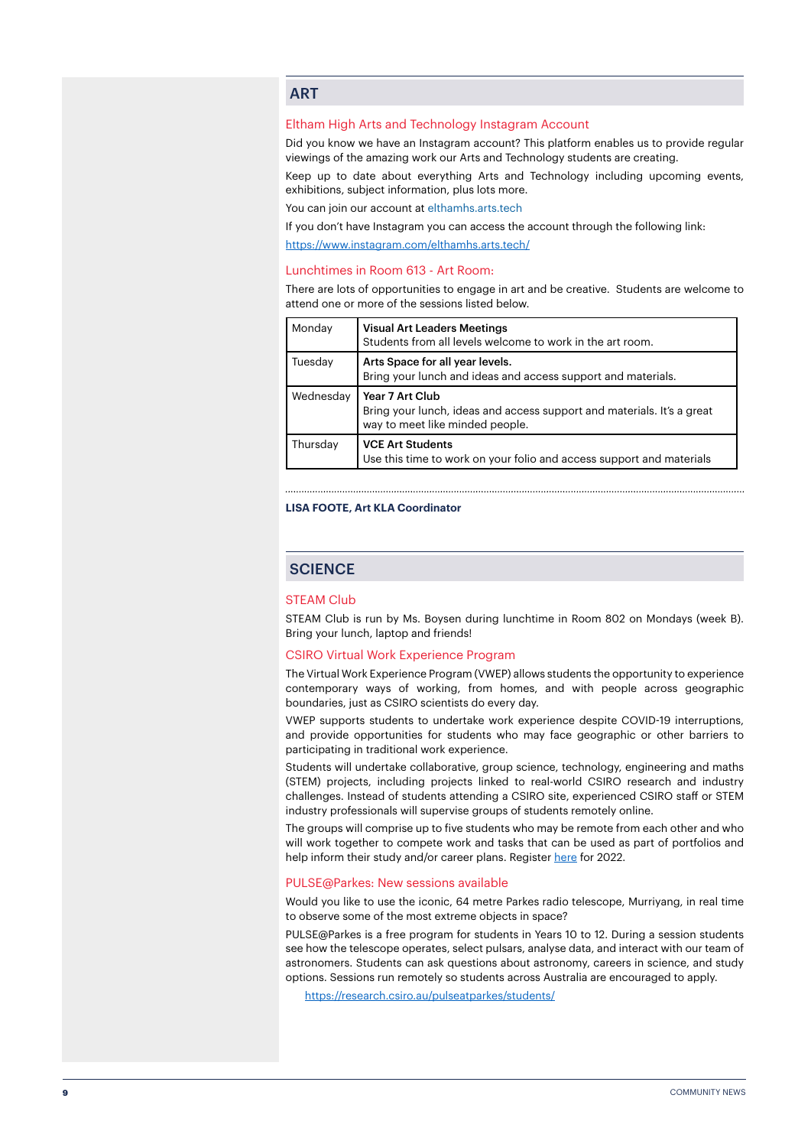#### **ART**

#### Eltham High Arts and Technology Instagram Account

Did you know we have an Instagram account? This platform enables us to provide regular viewings of the amazing work our Arts and Technology students are creating.

Keep up to date about everything Arts and Technology including upcoming events, exhibitions, subject information, plus lots more.

You can join our account at elthamhs.arts.tech

If you don't have Instagram you can access the account through the following link: <https://www.instagram.com/elthamhs.arts.tech/>

#### Lunchtimes in Room 613 - Art Room:

There are lots of opportunities to engage in art and be creative. Students are welcome to attend one or more of the sessions listed below.

| Monday    | <b>Visual Art Leaders Meetings</b><br>Students from all levels welcome to work in the art room.                              |
|-----------|------------------------------------------------------------------------------------------------------------------------------|
| Tuesday   | Arts Space for all year levels.<br>Bring your lunch and ideas and access support and materials.                              |
| Wednesday | Year 7 Art Club<br>Bring your lunch, ideas and access support and materials. It's a great<br>way to meet like minded people. |
| Thursday  | <b>VCE Art Students</b><br>Use this time to work on your folio and access support and materials                              |

#### **LISA FOOTE, Art KLA Coordinator**

#### **SCIENCE**

#### STEAM Club

STEAM Club is run by Ms. Boysen during lunchtime in Room 802 on Mondays (week B). Bring your lunch, laptop and friends!

#### CSIRO Virtual Work Experience Program

The Virtual Work Experience Program (VWEP) allows students the opportunity to experience contemporary ways of working, from homes, and with people across geographic boundaries, just as CSIRO scientists do every day.

VWEP supports students to undertake work experience despite COVID-19 interruptions, and provide opportunities for students who may face geographic or other barriers to participating in traditional work experience.

Students will undertake collaborative, group science, technology, engineering and maths (STEM) projects, including projects linked to real-world CSIRO research and industry challenges. Instead of students attending a CSIRO site, experienced CSIRO staff or STEM industry professionals will supervise groups of students remotely online.

The groups will comprise up to five students who may be remote from each other and who will work together to compete work and tasks that can be used as part of portfolios and help inform their study and/or career plans. Register [here](https://www.csiro.au/en/careers/Scholarships-student-opportunities/work-experience?utm_source=Education-and-Outreach-2022_Term_1&utm_medium=newsletter&utm_campaign=Education-and-Outreach) for 2022.

#### PULSE@Parkes: New sessions available

Would you like to use the iconic, 64 metre Parkes radio telescope, Murriyang, in real time to observe some of the most extreme objects in space?

PULSE@Parkes is a free program for students in Years 10 to 12. During a session students see how the telescope operates, select pulsars, analyse data, and interact with our team of astronomers. Students can ask questions about astronomy, careers in science, and study options. Sessions run remotely so students across Australia are encouraged to apply.

<https://research.csiro.au/pulseatparkes/students/>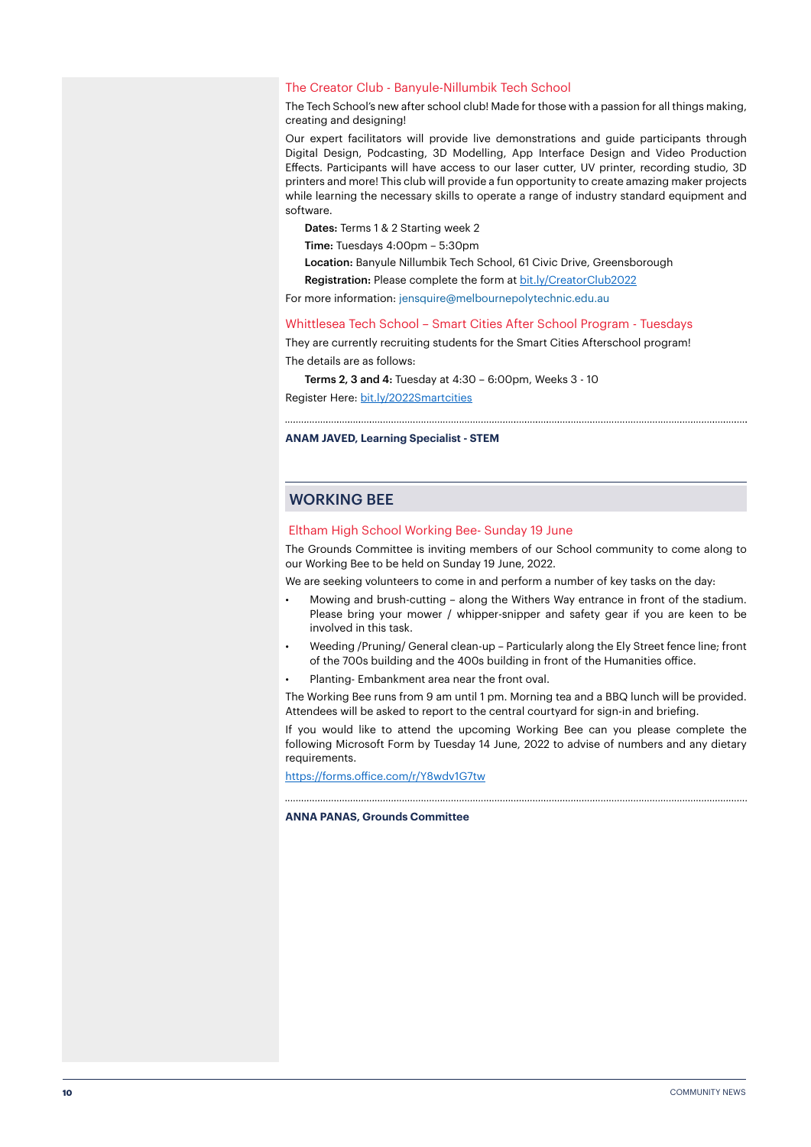#### The Creator Club - Banyule-Nillumbik Tech School

The Tech School's new after school club! Made for those with a passion for all things making, creating and designing!

Our expert facilitators will provide live demonstrations and guide participants through Digital Design, Podcasting, 3D Modelling, App Interface Design and Video Production Effects. Participants will have access to our laser cutter, UV printer, recording studio, 3D printers and more! This club will provide a fun opportunity to create amazing maker projects while learning the necessary skills to operate a range of industry standard equipment and software.

Dates: Terms 1 & 2 Starting week 2

Time: Tuesdays 4:00pm – 5:30pm

Location: Banyule Nillumbik Tech School, 61 Civic Drive, Greensborough

Registration: Please complete the form at [bit.ly/CreatorClub2022](http://bit.ly/CreatorClub2022)

For more information: jensquire@melbournepolytechnic.edu.au

#### Whittlesea Tech School – Smart Cities After School Program - Tuesdays

They are currently recruiting students for the Smart Cities Afterschool program! The details are as follows:

Terms 2, 3 and 4: Tuesday at 4:30 – 6:00pm, Weeks 3 - 10

Register Here: [bit.ly/2022Smartcities](http://bit.ly/2022Smartcities)

#### **ANAM JAVED, Learning Specialist - STEM**

#### WORKING BEE

#### Eltham High School Working Bee- Sunday 19 June

The Grounds Committee is inviting members of our School community to come along to our Working Bee to be held on Sunday 19 June, 2022.

We are seeking volunteers to come in and perform a number of key tasks on the day:

- Mowing and brush-cutting along the Withers Way entrance in front of the stadium. Please bring your mower / whipper-snipper and safety gear if you are keen to be involved in this task.
- Weeding /Pruning/ General clean-up Particularly along the Ely Street fence line; front of the 700s building and the 400s building in front of the Humanities office.
- Planting- Embankment area near the front oval.

The Working Bee runs from 9 am until 1 pm. Morning tea and a BBQ lunch will be provided. Attendees will be asked to report to the central courtyard for sign-in and briefing.

If you would like to attend the upcoming Working Bee can you please complete the following Microsoft Form by Tuesday 14 June, 2022 to advise of numbers and any dietary requirements.

<https://forms.office.com/r/Y8wdv1G7tw>

#### **ANNA PANAS, Grounds Committee**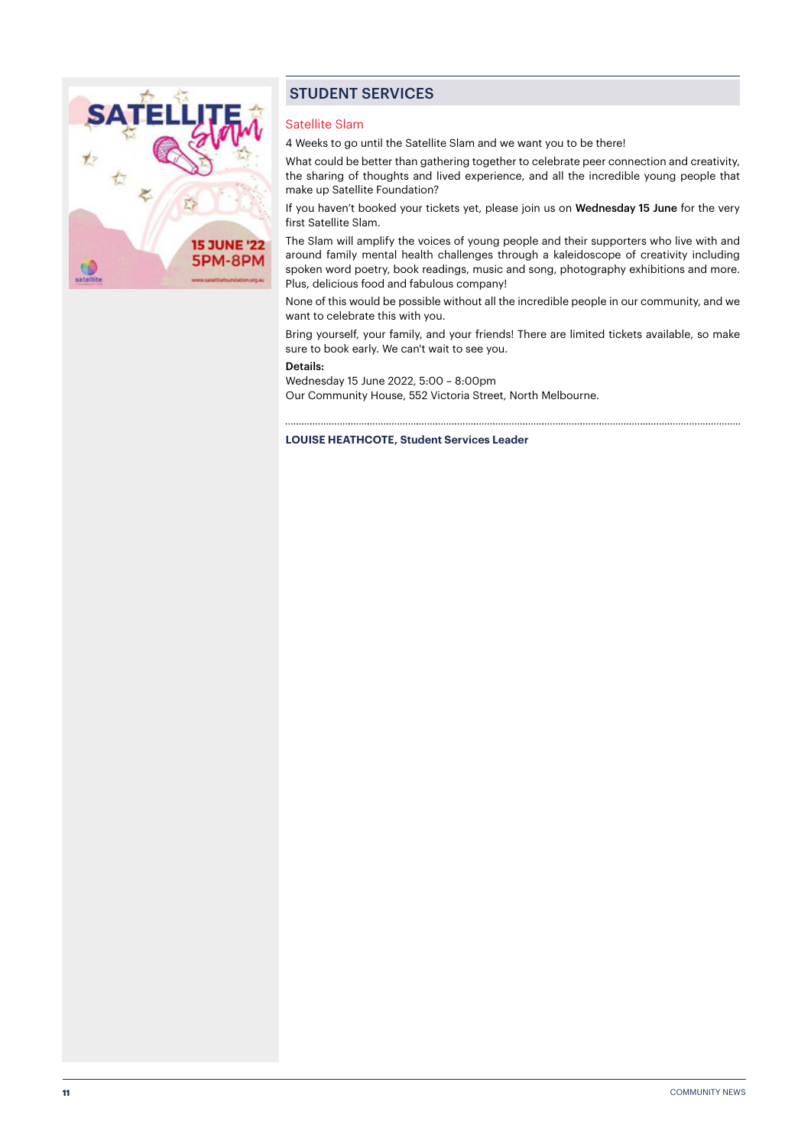

#### STUDENT SERVICES

#### Satellite Slam

4 Weeks to go until the Satellite Slam and we want you to be there!

What could be better than gathering together to celebrate peer connection and creativity, the sharing of thoughts and lived experience, and all the incredible young people that make up Satellite Foundation?

If you haven't booked your tickets yet, please join us on Wednesday 15 June for the very first Satellite Slam.

The Slam will amplify the voices of young people and their supporters who live with and around family mental health challenges through a kaleidoscope of creativity including spoken word poetry, book readings, music and song, photography exhibitions and more. Plus, delicious food and fabulous company!

None of this would be possible without all the incredible people in our community, and we want to celebrate this with you.

Bring yourself, your family, and your friends! There are limited tickets available, so make sure to book early. We can't wait to see you.

#### Details:

Wednesday 15 June 2022, 5:00 – 8:00pm Our Community House, 552 Victoria Street, North Melbourne.

#### **LOUISE HEATHCOTE, Student Services Leader**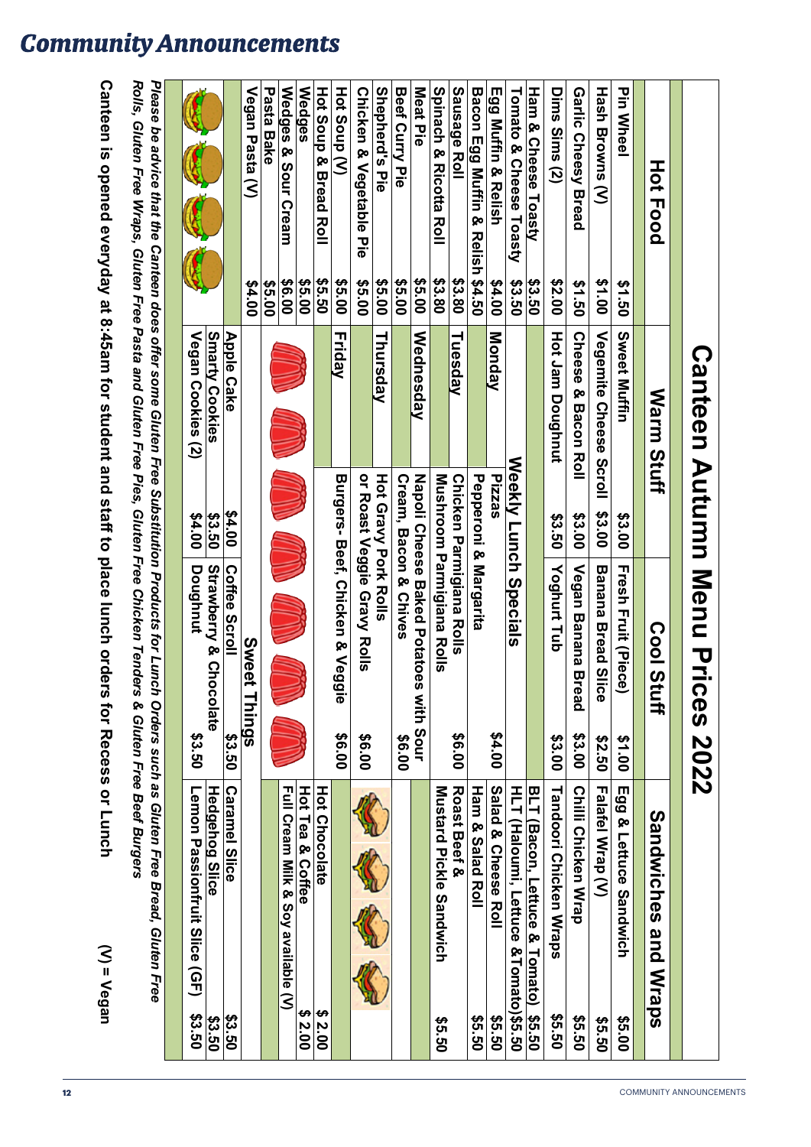| HOT<br>Food                                                                                          |               | <b>Warm</b><br><b>Stuff</b>   |                             | <u>လ္၀</u><br>Stuff                                                                                                      |        | <b>Sandwiches</b><br>and Wraps                                                                                                          |               |
|------------------------------------------------------------------------------------------------------|---------------|-------------------------------|-----------------------------|--------------------------------------------------------------------------------------------------------------------------|--------|-----------------------------------------------------------------------------------------------------------------------------------------|---------------|
| <b>Pin Wheel</b>                                                                                     | 091.50        | Sweet Muffin                  | \$3.00                      | <b>Fresh Fruit (Piec</b><br>$\check{\mathbf{e}}$                                                                         | \$1.00 | Egg & Lettuce Sandwich                                                                                                                  | \$5.00        |
| <b>Hash Browns (V)</b>                                                                               | 00'1\$        | Vegemite Cheese Scroll        | <b>\$3.00</b>               | <b>Banana Bread SI</b><br>ice                                                                                            | 09.50  | <b>Falafel Wrap (V)</b>                                                                                                                 | 09.50         |
| Garlic Cheesy Bread                                                                                  | 09.150        | <b>Cheese</b><br>& Bacon Roll | \$3.00                      | <b>Vegan Banana B</b><br>read                                                                                            | \$3.00 | <b>Chilli Chicken Wrap</b>                                                                                                              | 09.50         |
| Dims Sims (2)                                                                                        | 00.2\$        | <b>Hot Jam Doughnut</b>       | \$3.50                      | Yoghurt Tub                                                                                                              | \$3.00 | Tandoori Chicken Wraps                                                                                                                  | 09.50         |
| Ham & Cheese Toasty                                                                                  | \$3.50        |                               |                             |                                                                                                                          |        | BLT (Bacon, Lettuce & Tomato)                                                                                                           | \$5.50        |
| Tomato & Cheese Toasty                                                                               | \$3.50        |                               |                             | Weekly Lunch Specials                                                                                                    |        | HLT (Haloumi, Lettuce &Tomato)\$5.50                                                                                                    |               |
| Egg Muffin & Relish                                                                                  | 00 73         | Monday                        | Pizzas                      |                                                                                                                          | \$4.00 | Salad & Cheese Roll                                                                                                                     | 09.50         |
| Bacon Egg Muffin & Relish \$4.50                                                                     |               |                               |                             | Pepperoni & Margarita                                                                                                    |        | Ham & Salad Roll                                                                                                                        | 09.50         |
| Sausage Roll                                                                                         | \$3.80        | Tuesday                       |                             | Chicken Parmigiana Rolls                                                                                                 | 00.9\$ | Roast Beef &                                                                                                                            |               |
| <b>Spirach &amp; Kicotta Koll</b>                                                                    | <b>\$3.80</b> |                               |                             | Mushroom Parmigiana Rolls                                                                                                |        | <b>Nustard Pickle Candwich</b>                                                                                                          | 09.50         |
| Meat Pie                                                                                             | <b>\$5.00</b> | Wednesday                     |                             | Mapoli Cheese Baked Potatoes with Sour                                                                                   |        |                                                                                                                                         |               |
| <b>Beef Curry Pie</b>                                                                                | \$5.00        |                               |                             | <b>Cream, Bacon &amp; Chives</b>                                                                                         | \$6.00 |                                                                                                                                         |               |
| Shepherd's Pie                                                                                       | \$5.00        | Thursday                      | <b>Hot Gravy Pork Rolls</b> |                                                                                                                          |        |                                                                                                                                         |               |
| <b>Chicken &amp; Vegetable Pie</b>                                                                   | \$5.00        |                               |                             | or Roast Veggie Gravy Rolls                                                                                              | 00.9\$ |                                                                                                                                         |               |
| Hot Soup (V)                                                                                         | 35.00         | Friday                        |                             | Burgers-Beef, Chicken & Veggie                                                                                           | 00.9\$ |                                                                                                                                         |               |
| Hot Soup & Bread Roll                                                                                | 09.50         |                               |                             |                                                                                                                          |        | <b>Hot Chocolate</b>                                                                                                                    | \$2.00        |
| <b>Wedges</b>                                                                                        | \$5.00        |                               |                             |                                                                                                                          |        | Hot Tea & Coffee                                                                                                                        | €,<br>2.00    |
| Wedges & Sour Cream                                                                                  | 00.9\$        |                               |                             |                                                                                                                          |        | Full Cream Milk & Soy available (V)                                                                                                     |               |
| Pasta Bake                                                                                           | \$5.00        |                               |                             |                                                                                                                          |        |                                                                                                                                         |               |
| Vegan Pasta (V)                                                                                      | 00.7\$        |                               |                             | Sweet<br>t Things                                                                                                        |        |                                                                                                                                         |               |
|                                                                                                      |               | <b>Apple Cake</b>             | 00 74                       | Coffee Scroll                                                                                                            | \$3.50 | <b>Caramel Slice</b>                                                                                                                    | \$3.50        |
|                                                                                                      |               | <b>Smarty Cookies</b>         | \$3.50                      | Strawberry & Chocolate                                                                                                   |        | <b>Hedgehog Slice</b>                                                                                                                   | \$3.50        |
|                                                                                                      |               | Vegan Cookies (2)             | 00.7\$                      | Doughnut                                                                                                                 | \$3.50 | Lemon Passionfruit Slice (GF)                                                                                                           | <b>\$3.50</b> |
|                                                                                                      |               |                               |                             |                                                                                                                          |        |                                                                                                                                         |               |
|                                                                                                      |               |                               |                             | Rolls, Gluten Free Wraps, Gluten Free Pasta and Gluten Free Pies, Gluten Free Chicken Tenders & Gluten Free Beef Burgers |        | Please be advice that the Canteen does offer some Gluter Substitution Pree Substitution Products such as Gluten Free Bread, Gluten Free |               |
| Canteen is opened everyday at 8:45am for student and staff to place lunch orders for Recess or Lunch |               |                               |                             |                                                                                                                          |        | $(N) = V$ egan                                                                                                                          |               |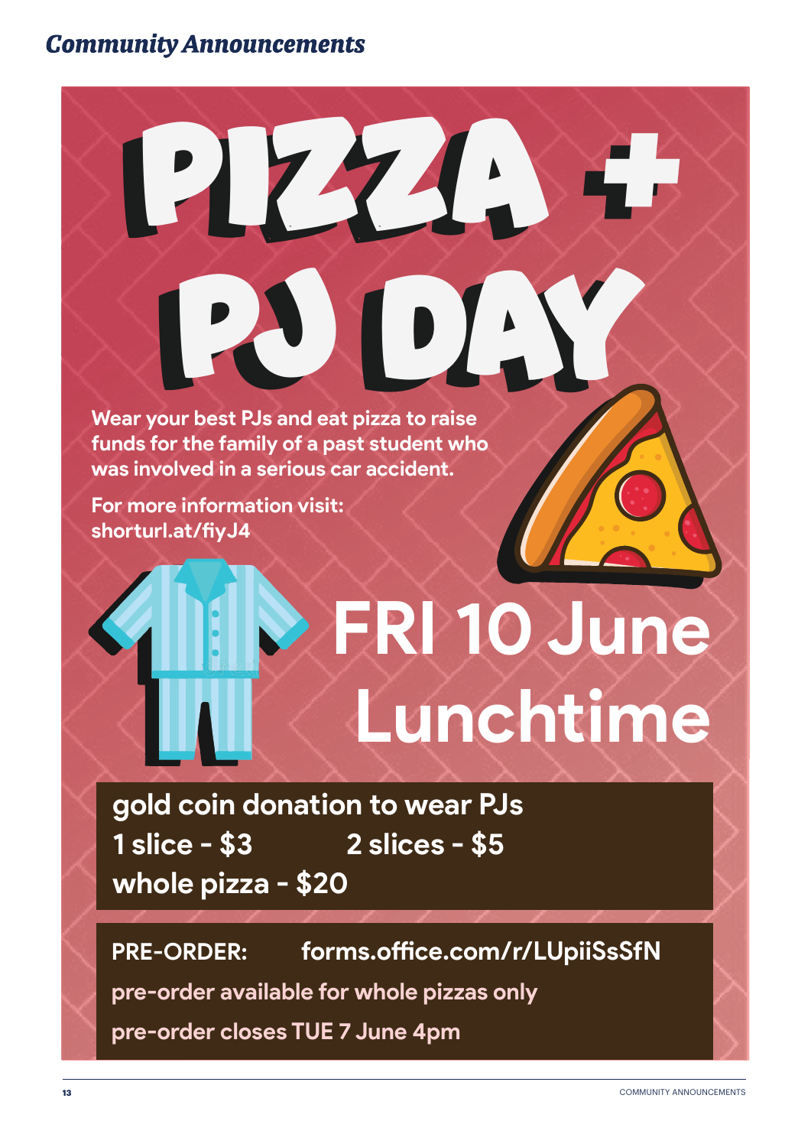PJ DAY **Wear your best PJs and eat pizza to raise funds for the family of a past student who was involved in a serious car accident.** 

PIZZA +

PIZZA +

PJ DAY

**For more information visit: shorturl.at/fiyJ4**

# **FRI 10 June Lunchtime**

**gold coin donation to wear PJs 1 slice - \$3 2 slices - \$5 whole pizza - \$20**

**PRE-ORDER: forms.office.com/r/LUpiiSsSfN**

**pre-order available for whole pizzas only**

**pre-order closes TUE 7 June 4pm**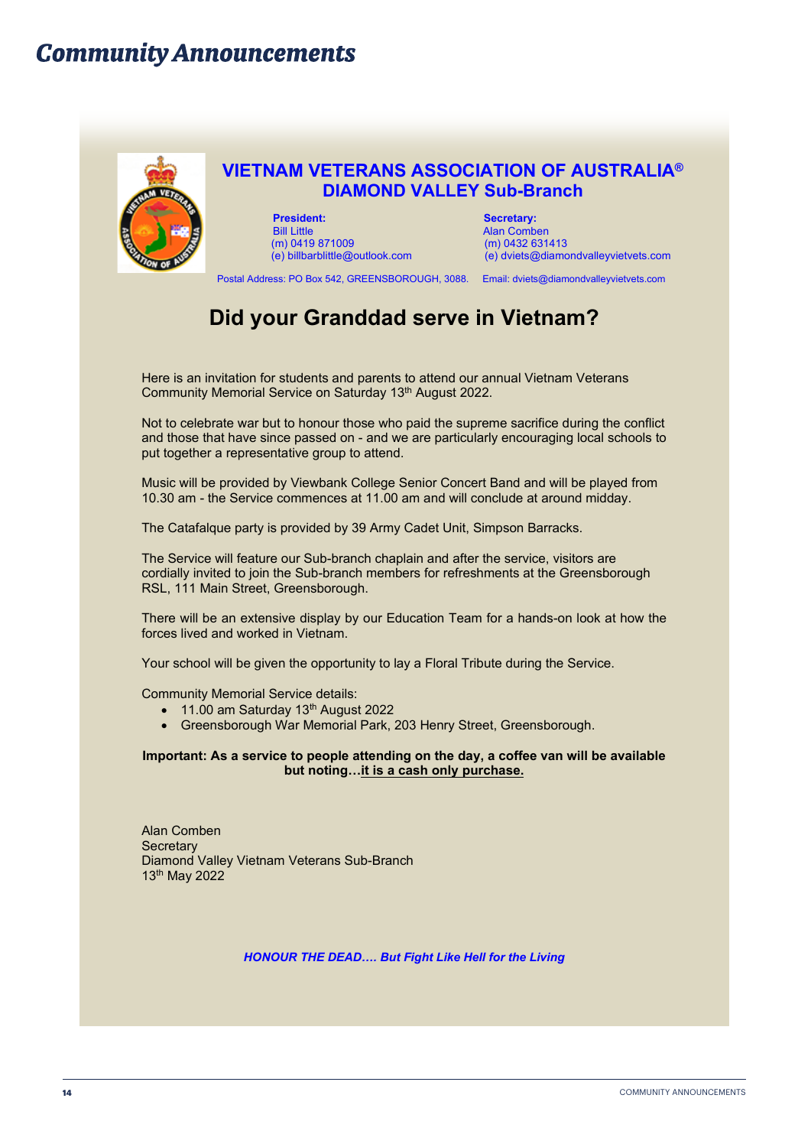

#### **VIETNAM VETERANS ASSOCIATION OF AUSTRALIA® DIAMOND VALLEY Sub-Branch**

**President:** Secretary: Secretary: Secretary: Secretary: Secretary: Secretary: Secretary: Secretary: Secretary: Secretary: Secretary: Secretary: Secretary: Secretary: Secretary: Secretary: Secretary: Secretary: Secretary: (m) 0419 871009

Alan Comben<br>(m) 0432 631413 (e) billbarblittle@outlook.com (e) dviets@diamondvalleyvietvets.com

Postal Address: PO Box 542, GREENSBOROUGH, 3088. Email: dviets@diamondvalleyvietvets.com

## **Did your Granddad serve in Vietnam?**

Here is an invitation for students and parents to attend our annual Vietnam Veterans Community Memorial Service on Saturday 13th August 2022.

Not to celebrate war but to honour those who paid the supreme sacrifice during the conflict and those that have since passed on - and we are particularly encouraging local schools to put together a representative group to attend.

Music will be provided by Viewbank College Senior Concert Band and will be played from 10.30 am - the Service commences at 11.00 am and will conclude at around midday.

The Catafalque party is provided by 39 Army Cadet Unit, Simpson Barracks.

The Service will feature our Sub-branch chaplain and after the service, visitors are cordially invited to join the Sub-branch members for refreshments at the Greensborough RSL, 111 Main Street, Greensborough.

There will be an extensive display by our Education Team for a hands-on look at how the forces lived and worked in Vietnam.

Your school will be given the opportunity to lay a Floral Tribute during the Service.

Community Memorial Service details:

- $\bullet$  11.00 am Saturday 13<sup>th</sup> August 2022
- Greensborough War Memorial Park, 203 Henry Street, Greensborough.

**Important: As a service to people attending on the day, a coffee van will be available but noting…it is a cash only purchase.**

Alan Comben **Secretary** Diamond Valley Vietnam Veterans Sub-Branch 13th May 2022

*HONOUR THE DEAD…. But Fight Like Hell for the Living*